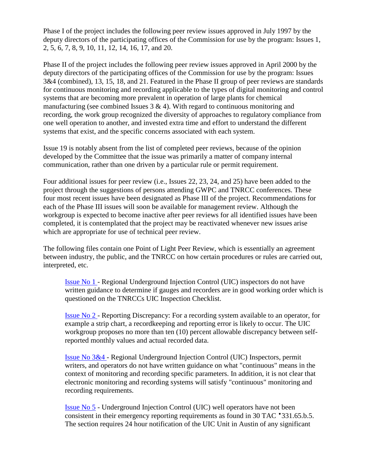Phase I of the project includes the following peer review issues approved in July 1997 by the deputy directors of the participating offices of the Commission for use by the program: Issues 1, 2, 5, 6, 7, 8, 9, 10, 11, 12, 14, 16, 17, and 20.

Phase II of the project includes the following peer review issues approved in April 2000 by the deputy directors of the participating offices of the Commission for use by the program: Issues 3&4 (combined), 13, 15, 18, and 21. Featured in the Phase II group of peer reviews are standards for continuous monitoring and recording applicable to the types of digital monitoring and control systems that are becoming more prevalent in operation of large plants for chemical manufacturing (see combined Issues  $3 \& 4$ ). With regard to continuous monitoring and recording, the work group recognized the diversity of approaches to regulatory compliance from one well operation to another, and invested extra time and effort to understand the different systems that exist, and the specific concerns associated with each system.

Issue 19 is notably absent from the list of completed peer reviews, because of the opinion developed by the Committee that the issue was primarily a matter of company internal communication, rather than one driven by a particular rule or permit requirement.

Four additional issues for peer review (i.e., Issues 22, 23, 24, and 25) have been added to the project through the suggestions of persons attending GWPC and TNRCC conferences. These four most recent issues have been designated as Phase III of the project. Recommendations for each of the Phase III issues will soon be available for management review. Although the workgroup is expected to become inactive after peer reviews for all identified issues have been completed, it is contemplated that the project may be reactivated whenever new issues arise which are appropriate for use of technical peer review.

The following files contain one Point of Light Peer Review, which is essentially an agreement between industry, the public, and the TNRCC on how certain procedures or rules are carried out, interpreted, etc.

[Issue No 1 -](https://www.tceq.texas.gov/downloads/permitting/radioactive-materials/uic/technical-peer-review-document-no-1.pdf) Regional Underground Injection Control (UIC) inspectors do not have written guidance to determine if gauges and recorders are in good working order which is questioned on the TNRCCs UIC Inspection Checklist.

[Issue No 2 -](https://www.tceq.texas.gov/downloads/permitting/radioactive-materials/uic/technical-peer-review-document-no-2.pdf) Reporting Discrepancy: For a recording system available to an operator, for example a strip chart, a recordkeeping and reporting error is likely to occur. The UIC workgroup proposes no more than ten (10) percent allowable discrepancy between selfreported monthly values and actual recorded data.

[Issue No 3&4 -](https://www.tceq.texas.gov/downloads/permitting/radioactive-materials/uic/technical-peer-review-document-no-3-and-4.pdf) Regional Underground Injection Control (UIC) Inspectors, permit writers, and operators do not have written guidance on what "continuous" means in the context of monitoring and recording specific parameters. In addition, it is not clear that electronic monitoring and recording systems will satisfy "continuous" monitoring and recording requirements.

[Issue No 5](https://www.tceq.texas.gov/downloads/permitting/radioactive-materials/uic/technical-peer-review-document-no-5.pdf) - Underground Injection Control (UIC) well operators have not been consistent in their emergency reporting requirements as found in 30 TAC §331.65.b.5. The section requires 24 hour notification of the UIC Unit in Austin of any significant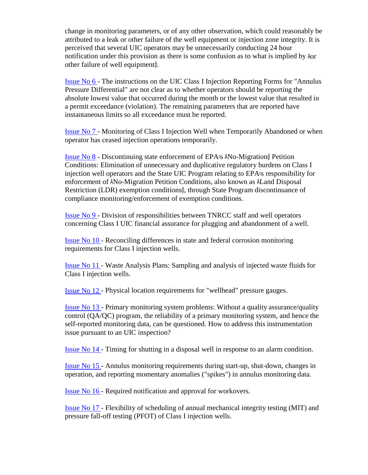change in monitoring parameters, or of any other observation, which could reasonably be attributed to a leak or other failure of the well equipment or injection zone integrity. It is perceived that several UIC operators may be unnecessarily conducting 24 hour notification under this provision as there is some confusion as to what is implied by "or other failure of well equipment".

[Issue No 6 -](https://www.tceq.texas.gov/downloads/permitting/radioactive-materials/uic/technical-peer-review-document-no-6.pdf) The instructions on the UIC Class I Injection Reporting Forms for "Annulus Pressure Differential" are not clear as to whether operators should be reporting the absolute lowest value that occurred during the month or the lowest value that resulted in a permit exceedance (violation). The remaining parameters that are reported have instantaneous limits so all exceedance must be reported.

[Issue No 7 -](https://www.tceq.texas.gov/downloads/permitting/radioactive-materials/uic/technical-peer-review-document-no-7.pdf) Monitoring of Class I Injection Well when Temporarily Abandoned or when operator has ceased injection operations temporarily.

[Issue](https://www.tceq.texas.gov/downloads/permitting/radioactive-materials/uic/technical-peer-review-document-no-8.pdf) No 8 - Discontinuing state enforcement of EPA's "No-Migration" Petition Conditions: Elimination of unnecessary and duplicative regulatory burdens on Class I injection well operators and the State UIC Program relating to EPA's responsibility for enforcement of "No-Migration" Petition Conditions, also known as "Land Disposal Restriction (LDR) exemption conditions", through State Program discontinuance of compliance monitoring/enforcement of exemption conditions.

[Issue No 9 -](https://www.tceq.texas.gov/downloads/permitting/radioactive-materials/uic/technical-peer-review-document-no-9.pdf) Division of responsibilities between TNRCC staff and well operators concerning Class I UIC financial assurance for plugging and abandonment of a well.

[Issue No 10 -](https://www.tceq.texas.gov/downloads/permitting/radioactive-materials/uic/technical-peer-review-document-no-10.pdf) Reconciling differences in state and federal corrosion monitoring requirements for Class I injection wells.

[Issue No 11 -](https://www.tceq.texas.gov/downloads/permitting/radioactive-materials/uic/technical-peer-review-document-no-11.pdf) Waste Analysis Plans: Sampling and analysis of injected waste fluids for Class I injection wells.

[Issue No 12 -](https://www.tceq.texas.gov/downloads/permitting/radioactive-materials/uic/technical-peer-review-document-no-12.pdf) Physical location requirements for "wellhead" pressure gauges.

Issue [No 13 -](https://www.tceq.texas.gov/downloads/permitting/radioactive-materials/uic/technical-peer-review-document-no-13.pdf) Primary monitoring system problems: Without a quality assurance/quality control (QA/QC) program, the reliability of a primary monitoring system, and hence the self-reported monitoring data, can be questioned. How to address this instrumentation issue pursuant to an UIC inspection?

[Issue No 14 -](https://www.tceq.texas.gov/downloads/permitting/radioactive-materials/uic/technical-peer-review-document-no-14.pdf) Timing for shutting in a disposal well in response to an alarm condition.

[Issue No 15 -](https://www.tceq.texas.gov/downloads/permitting/radioactive-materials/uic/technical-peer-review-document-no-15.pdf) Annulus monitoring requirements during start-up, shut-down, changes in operation, and reporting momentary anomalies ("spikes") in annulus monitoring data.

[Issue No 16 -](https://www.tceq.texas.gov/downloads/permitting/radioactive-materials/uic/technical-peer-review-document-no-16.pdf) Required notification and approval for workovers.

Issue [No 17 -](https://www.tceq.texas.gov/downloads/permitting/radioactive-materials/uic/technical-peer-review-document-no-17.pdf) Flexibility of scheduling of annual mechanical integrity testing (MIT) and pressure fall-off testing (PFOT) of Class I injection wells.